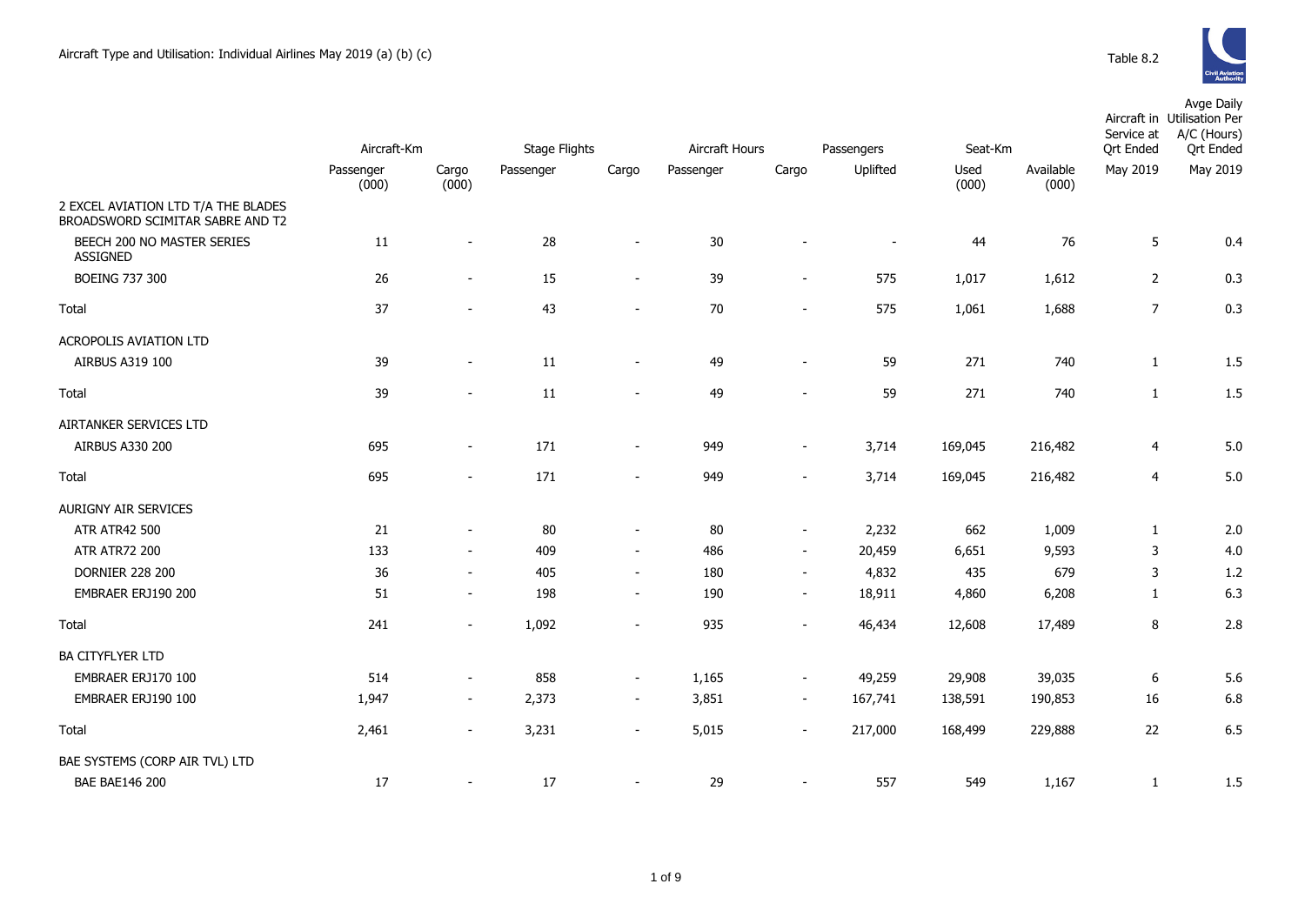

|                                                                         |                    |                          |                      |                          |                |                          | Service at     |               |                    |                  | Avge Daily<br>Aircraft in Utilisation Per<br>A/C (Hours) |
|-------------------------------------------------------------------------|--------------------|--------------------------|----------------------|--------------------------|----------------|--------------------------|----------------|---------------|--------------------|------------------|----------------------------------------------------------|
|                                                                         | Aircraft-Km        |                          | <b>Stage Flights</b> |                          | Aircraft Hours |                          | Passengers     | Seat-Km       |                    | <b>Qrt Ended</b> | <b>Qrt Ended</b>                                         |
|                                                                         | Passenger<br>(000) | Cargo<br>(000)           | Passenger            | Cargo                    | Passenger      | Cargo                    | Uplifted       | Used<br>(000) | Available<br>(000) | May 2019         | May 2019                                                 |
| 2 EXCEL AVIATION LTD T/A THE BLADES<br>BROADSWORD SCIMITAR SABRE AND T2 |                    |                          |                      |                          |                |                          |                |               |                    |                  |                                                          |
| BEECH 200 NO MASTER SERIES<br><b>ASSIGNED</b>                           | 11                 | $\sim$                   | 28                   | $\overline{\phantom{a}}$ | 30             |                          | $\blacksquare$ | 44            | 76                 | 5                | 0.4                                                      |
| <b>BOEING 737 300</b>                                                   | 26                 | $\overline{\phantom{a}}$ | 15                   | $\overline{\phantom{a}}$ | 39             | $\overline{\phantom{a}}$ | 575            | 1,017         | 1,612              | $\overline{2}$   | 0.3                                                      |
| Total                                                                   | 37                 | $\sim$                   | 43                   | $\overline{\phantom{a}}$ | 70             | $\sim$                   | 575            | 1,061         | 1,688              | $\overline{7}$   | 0.3                                                      |
| <b>ACROPOLIS AVIATION LTD</b>                                           |                    |                          |                      |                          |                |                          |                |               |                    |                  |                                                          |
| AIRBUS A319 100                                                         | 39                 | $\sim$                   | $11\,$               | $\sim$                   | 49             | $\sim$                   | 59             | 271           | 740                | $\mathbf{1}$     | 1.5                                                      |
| Total                                                                   | 39                 | $\sim$                   | 11                   |                          | 49             | $\sim$                   | 59             | 271           | 740                | $\mathbf{1}$     | 1.5                                                      |
| AIRTANKER SERVICES LTD                                                  |                    |                          |                      |                          |                |                          |                |               |                    |                  |                                                          |
| AIRBUS A330 200                                                         | 695                | $\overline{\phantom{a}}$ | 171                  | $\blacksquare$           | 949            | $\overline{\phantom{a}}$ | 3,714          | 169,045       | 216,482            | $\overline{4}$   | 5.0                                                      |
| Total                                                                   | 695                | $\sim$                   | 171                  | $\sim$                   | 949            | $\sim$                   | 3,714          | 169,045       | 216,482            | 4                | 5.0                                                      |
| AURIGNY AIR SERVICES                                                    |                    |                          |                      |                          |                |                          |                |               |                    |                  |                                                          |
| <b>ATR ATR42 500</b>                                                    | 21                 | $\sim$                   | 80                   | $\blacksquare$           | 80             | $\blacksquare$           | 2,232          | 662           | 1,009              | $\mathbf{1}$     | 2.0                                                      |
| <b>ATR ATR72 200</b>                                                    | 133                | $\sim$                   | 409                  | $\sim$                   | 486            | $\sim$                   | 20,459         | 6,651         | 9,593              | 3                | 4.0                                                      |
| <b>DORNIER 228 200</b>                                                  | 36                 | $\sim$                   | 405                  | $\overline{\phantom{a}}$ | 180            | $\sim$                   | 4,832          | 435           | 679                | 3                | 1.2                                                      |
| EMBRAER ERJ190 200                                                      | 51                 | $\sim$                   | 198                  | $\blacksquare$           | 190            | $\overline{\phantom{a}}$ | 18,911         | 4,860         | 6,208              | $\mathbf{1}$     | 6.3                                                      |
| Total                                                                   | 241                | $\blacksquare$           | 1,092                | $\sim$                   | 935            | $\sim$                   | 46,434         | 12,608        | 17,489             | 8                | 2.8                                                      |
| <b>BA CITYFLYER LTD</b>                                                 |                    |                          |                      |                          |                |                          |                |               |                    |                  |                                                          |
| EMBRAER ERJ170 100                                                      | 514                | $\blacksquare$           | 858                  | $\blacksquare$           | 1,165          | $\sim$                   | 49,259         | 29,908        | 39,035             | 6                | 5.6                                                      |
| EMBRAER ERJ190 100                                                      | 1,947              | $\sim$                   | 2,373                | $\sim$                   | 3,851          | $\sim$                   | 167,741        | 138,591       | 190,853            | 16               | 6.8                                                      |
| Total                                                                   | 2,461              | $\overline{\phantom{a}}$ | 3,231                | $\overline{\phantom{a}}$ | 5,015          | $\overline{\phantom{a}}$ | 217,000        | 168,499       | 229,888            | 22               | 6.5                                                      |
| BAE SYSTEMS (CORP AIR TVL) LTD                                          |                    |                          |                      |                          |                |                          |                |               |                    |                  |                                                          |
| <b>BAE BAE146 200</b>                                                   | 17                 |                          | 17                   |                          | 29             | $\blacksquare$           | 557            | 549           | 1,167              | $\mathbf{1}$     | 1.5                                                      |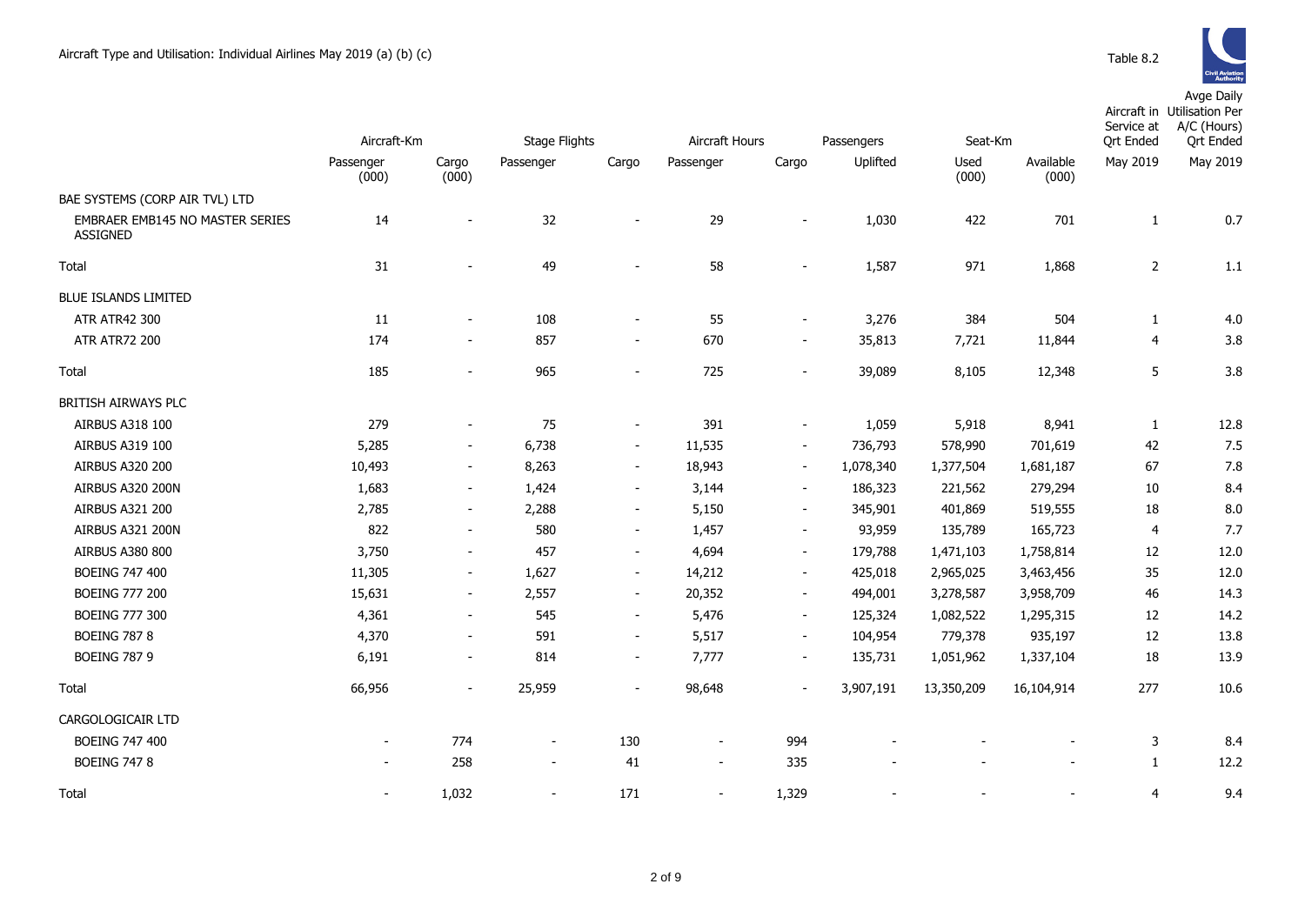|                                                    | Aircraft-Km              |                          | Stage Flights  | Aircraft Hours           |                          |                          | Passengers<br>Seat-Km |               |                    | Service at<br><b>Qrt Ended</b> | Aircraft in Utilisation Per<br>A/C (Hours)<br><b>Qrt Ended</b> |
|----------------------------------------------------|--------------------------|--------------------------|----------------|--------------------------|--------------------------|--------------------------|-----------------------|---------------|--------------------|--------------------------------|----------------------------------------------------------------|
|                                                    | Passenger<br>(000)       | Cargo<br>(000)           | Passenger      | Cargo                    | Passenger                | Cargo                    | Uplifted              | Used<br>(000) | Available<br>(000) | May 2019                       | May 2019                                                       |
| BAE SYSTEMS (CORP AIR TVL) LTD                     |                          |                          |                |                          |                          |                          |                       |               |                    |                                |                                                                |
| EMBRAER EMB145 NO MASTER SERIES<br><b>ASSIGNED</b> | 14                       |                          | 32             | $\blacksquare$           | 29                       |                          | 1,030                 | 422           | 701                | 1                              | 0.7                                                            |
| Total                                              | 31                       |                          | 49             | $\blacksquare$           | 58                       | $\blacksquare$           | 1,587                 | 971           | 1,868              | $\overline{2}$                 | 1.1                                                            |
| <b>BLUE ISLANDS LIMITED</b>                        |                          |                          |                |                          |                          |                          |                       |               |                    |                                |                                                                |
| ATR ATR42 300                                      | 11                       | $\blacksquare$           | 108            | $\overline{\phantom{a}}$ | 55                       | $\blacksquare$           | 3,276                 | 384           | 504                | $\mathbf{1}$                   | 4.0                                                            |
| <b>ATR ATR72 200</b>                               | 174                      | $\blacksquare$           | 857            | $\blacksquare$           | 670                      | $\blacksquare$           | 35,813                | 7,721         | 11,844             | $\overline{4}$                 | 3.8                                                            |
| Total                                              | 185                      | $\overline{\phantom{a}}$ | 965            | $\overline{\phantom{a}}$ | 725                      | $\overline{\phantom{0}}$ | 39,089                | 8,105         | 12,348             | 5                              | 3.8                                                            |
| BRITISH AIRWAYS PLC                                |                          |                          |                |                          |                          |                          |                       |               |                    |                                |                                                                |
| AIRBUS A318 100                                    | 279                      | ٠                        | 75             | $\overline{\phantom{a}}$ | 391                      | $\sim$                   | 1,059                 | 5,918         | 8,941              | 1                              | 12.8                                                           |
| AIRBUS A319 100                                    | 5,285                    | $\overline{\phantom{a}}$ | 6,738          | $\overline{\phantom{a}}$ | 11,535                   | $\blacksquare$           | 736,793               | 578,990       | 701,619            | 42                             | 7.5                                                            |
| AIRBUS A320 200                                    | 10,493                   | $\overline{\phantom{a}}$ | 8,263          | $\overline{\phantom{a}}$ | 18,943                   | $\sim$                   | 1,078,340             | 1,377,504     | 1,681,187          | 67                             | 7.8                                                            |
| AIRBUS A320 200N                                   | 1,683                    | $\overline{\phantom{a}}$ | 1,424          | $\sim$                   | 3,144                    | $\sim$                   | 186,323               | 221,562       | 279,294            | 10                             | 8.4                                                            |
| AIRBUS A321 200                                    | 2,785                    | $\overline{\phantom{a}}$ | 2,288          | $\overline{\phantom{a}}$ | 5,150                    | $\overline{\phantom{a}}$ | 345,901               | 401,869       | 519,555            | 18                             | 8.0                                                            |
| AIRBUS A321 200N                                   | 822                      | $\overline{\phantom{a}}$ | 580            | $\blacksquare$           | 1,457                    | $\overline{\phantom{a}}$ | 93,959                | 135,789       | 165,723            | $\overline{4}$                 | 7.7                                                            |
| <b>AIRBUS A380 800</b>                             | 3,750                    | $\overline{\phantom{a}}$ | 457            | $\overline{\phantom{a}}$ | 4,694                    | $\overline{\phantom{a}}$ | 179,788               | 1,471,103     | 1,758,814          | 12                             | 12.0                                                           |
| <b>BOEING 747 400</b>                              | 11,305                   | $\blacksquare$           | 1,627          | $\blacksquare$           | 14,212                   | $\overline{\phantom{a}}$ | 425,018               | 2,965,025     | 3,463,456          | 35                             | 12.0                                                           |
| <b>BOEING 777 200</b>                              | 15,631                   | $\overline{\phantom{a}}$ | 2,557          | $\overline{\phantom{a}}$ | 20,352                   | $\blacksquare$           | 494,001               | 3,278,587     | 3,958,709          | 46                             | 14.3                                                           |
| <b>BOEING 777 300</b>                              | 4,361                    | $\blacksquare$           | 545            | $\sim$                   | 5,476                    | $\sim$                   | 125,324               | 1,082,522     | 1,295,315          | 12                             | 14.2                                                           |
| <b>BOEING 787 8</b>                                | 4,370                    | $\blacksquare$           | 591            | $\overline{\phantom{a}}$ | 5,517                    | $\sim$                   | 104,954               | 779,378       | 935,197            | 12                             | 13.8                                                           |
| <b>BOEING 787 9</b>                                | 6,191                    | $\blacksquare$           | 814            | $\overline{\phantom{a}}$ | 7,777                    | $\sim$                   | 135,731               | 1,051,962     | 1,337,104          | 18                             | 13.9                                                           |
| Total                                              | 66,956                   | $\overline{\phantom{a}}$ | 25,959         | $\overline{\phantom{a}}$ | 98,648                   | $\blacksquare$           | 3,907,191             | 13,350,209    | 16,104,914         | 277                            | 10.6                                                           |
| CARGOLOGICAIR LTD                                  |                          |                          |                |                          |                          |                          |                       |               |                    |                                |                                                                |
| <b>BOEING 747 400</b>                              | $\overline{\phantom{a}}$ | 774                      | $\blacksquare$ | 130                      | $\overline{\phantom{a}}$ | 994                      |                       |               |                    | 3                              | 8.4                                                            |
| <b>BOEING 747 8</b>                                | $\blacksquare$           | 258                      | $\sim$         | 41                       | $\blacksquare$           | 335                      |                       |               |                    | $\mathbf{1}$                   | 12.2                                                           |
| Total                                              | $\sim$                   | 1,032                    | $\blacksquare$ | 171                      | $\sim$                   | 1,329                    |                       |               |                    | $\overline{4}$                 | 9.4                                                            |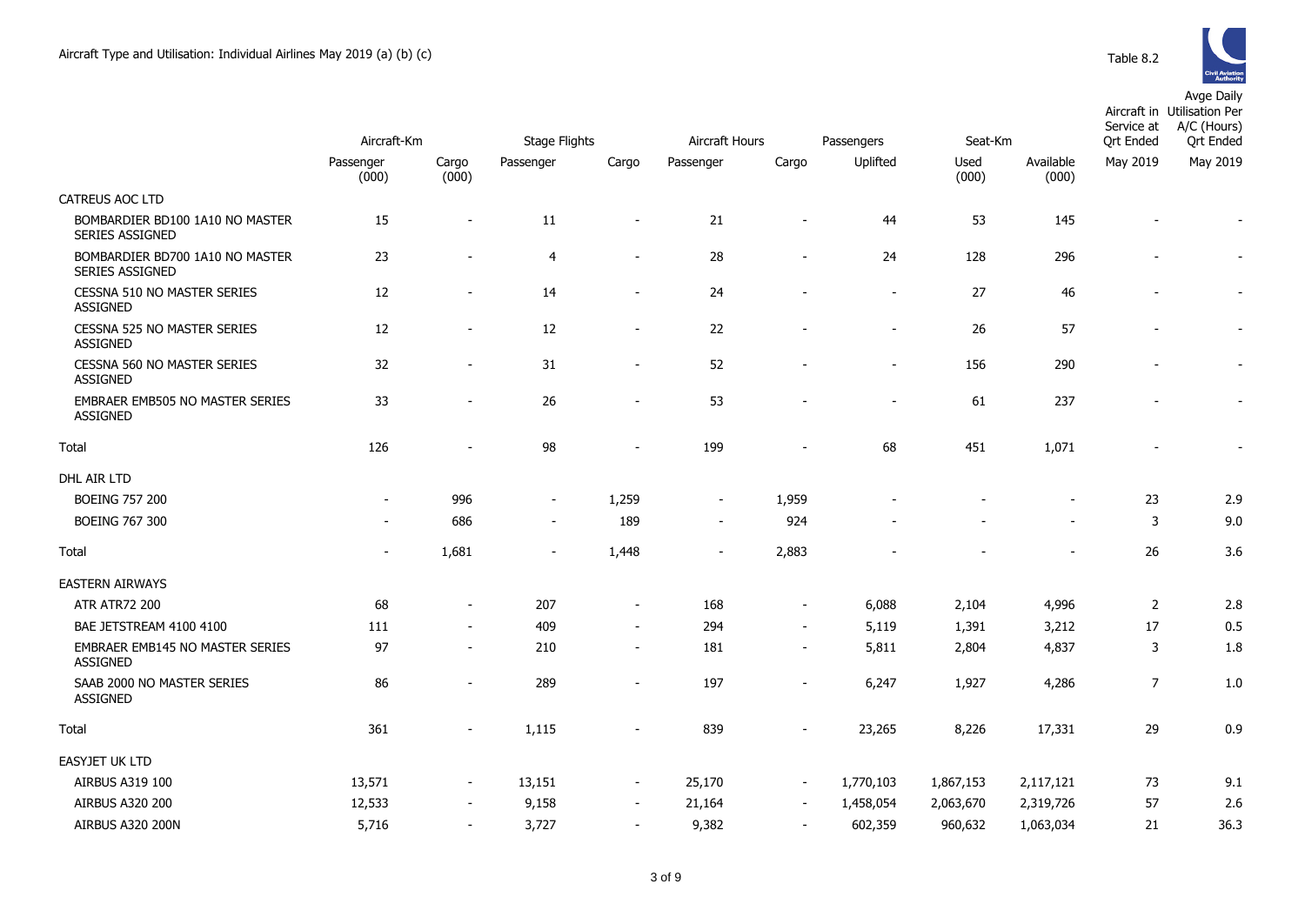

Utilisation Per

Aircraft in

|                                                           | Aircraft-Km              |                          | <b>Stage Flights</b>     |                          | Aircraft Hours           |                          | Passengers     | Seat-Km       |                    | Service at<br><b>Qrt Ended</b> | A/C (Hours)<br><b>Qrt Ended</b> |
|-----------------------------------------------------------|--------------------------|--------------------------|--------------------------|--------------------------|--------------------------|--------------------------|----------------|---------------|--------------------|--------------------------------|---------------------------------|
|                                                           | Passenger<br>(000)       | Cargo<br>(000)           | Passenger                | Cargo                    | Passenger                | Cargo                    | Uplifted       | Used<br>(000) | Available<br>(000) | May 2019                       | May 2019                        |
| CATREUS AOC LTD                                           |                          |                          |                          |                          |                          |                          |                |               |                    |                                |                                 |
| BOMBARDIER BD100 1A10 NO MASTER<br>SERIES ASSIGNED        | 15                       | $\overline{\phantom{a}}$ | 11                       |                          | 21                       | $\overline{\phantom{a}}$ | 44             | 53            | 145                |                                |                                 |
| BOMBARDIER BD700 1A10 NO MASTER<br><b>SERIES ASSIGNED</b> | 23                       |                          | $\overline{4}$           | $\overline{\phantom{a}}$ | 28                       | $\overline{\phantom{a}}$ | 24             | 128           | 296                |                                |                                 |
| CESSNA 510 NO MASTER SERIES<br><b>ASSIGNED</b>            | 12                       | $\overline{\phantom{a}}$ | 14                       | $\overline{\phantom{a}}$ | 24                       | $\overline{\phantom{a}}$ | $\blacksquare$ | 27            | 46                 |                                |                                 |
| CESSNA 525 NO MASTER SERIES<br>ASSIGNED                   | 12                       | $\sim$                   | 12                       | $\overline{\phantom{a}}$ | 22                       |                          | $\overline{a}$ | 26            | 57                 |                                |                                 |
| CESSNA 560 NO MASTER SERIES<br><b>ASSIGNED</b>            | 32                       | $\overline{\phantom{a}}$ | 31                       | $\overline{\phantom{a}}$ | 52                       | $\blacksquare$           | $\overline{a}$ | 156           | 290                |                                |                                 |
| EMBRAER EMB505 NO MASTER SERIES<br>ASSIGNED               | 33                       | $\overline{\phantom{a}}$ | 26                       | $\blacksquare$           | 53                       | $\overline{\phantom{a}}$ | $\overline{a}$ | 61            | 237                |                                |                                 |
| Total                                                     | 126                      |                          | 98                       |                          | 199                      | $\overline{\phantom{a}}$ | 68             | 451           | 1,071              |                                |                                 |
| DHL AIR LTD                                               |                          |                          |                          |                          |                          |                          |                |               |                    |                                |                                 |
| <b>BOEING 757 200</b>                                     | $\overline{\phantom{a}}$ | 996                      | $\overline{\phantom{a}}$ | 1,259                    | $\overline{\phantom{a}}$ | 1,959                    |                |               |                    | 23                             | 2.9                             |
| <b>BOEING 767 300</b>                                     |                          | 686                      | $\overline{\phantom{a}}$ | 189                      | $\overline{\phantom{a}}$ | 924                      |                |               |                    | 3                              | 9.0                             |
| Total                                                     | $\overline{\phantom{a}}$ | 1,681                    | $\overline{\phantom{a}}$ | 1,448                    | $\overline{\phantom{a}}$ | 2,883                    |                |               |                    | 26                             | 3.6                             |
| <b>EASTERN AIRWAYS</b>                                    |                          |                          |                          |                          |                          |                          |                |               |                    |                                |                                 |
| <b>ATR ATR72 200</b>                                      | 68                       | $\overline{\phantom{a}}$ | 207                      | $\overline{\phantom{a}}$ | 168                      | $\overline{\phantom{a}}$ | 6,088          | 2,104         | 4,996              | $\overline{2}$                 | 2.8                             |
| BAE JETSTREAM 4100 4100                                   | 111                      | $\overline{\phantom{a}}$ | 409                      | $\overline{\phantom{a}}$ | 294                      | $\overline{\phantom{a}}$ | 5,119          | 1,391         | 3,212              | 17                             | 0.5                             |
| EMBRAER EMB145 NO MASTER SERIES<br><b>ASSIGNED</b>        | 97                       | $\overline{\phantom{a}}$ | 210                      | $\overline{\phantom{a}}$ | 181                      | $\overline{\phantom{a}}$ | 5,811          | 2,804         | 4,837              | 3                              | 1.8                             |
| SAAB 2000 NO MASTER SERIES<br>ASSIGNED                    | 86                       | $\overline{\phantom{a}}$ | 289                      | $\overline{\phantom{a}}$ | 197                      | $\overline{a}$           | 6,247          | 1,927         | 4,286              | $\overline{7}$                 | 1.0                             |
| <b>Total</b>                                              | 361                      |                          | 1,115                    |                          | 839                      |                          | 23,265         | 8,226         | 17,331             | 29                             | 0.9                             |
| <b>EASYJET UK LTD</b>                                     |                          |                          |                          |                          |                          |                          |                |               |                    |                                |                                 |
| AIRBUS A319 100                                           | 13,571                   | $\overline{\phantom{a}}$ | 13,151                   | $\blacksquare$           | 25,170                   | $\overline{\phantom{a}}$ | 1,770,103      | 1,867,153     | 2,117,121          | 73                             | 9.1                             |
| AIRBUS A320 200                                           | 12,533                   | $\overline{\phantom{a}}$ | 9,158                    | $\overline{\phantom{a}}$ | 21,164                   | $\overline{\phantom{a}}$ | 1,458,054      | 2,063,670     | 2,319,726          | 57                             | 2.6                             |
| AIRBUS A320 200N                                          | 5,716                    | $\sim$                   | 3,727                    | $\blacksquare$           | 9,382                    | $\overline{\phantom{a}}$ | 602,359        | 960,632       | 1,063,034          | 21                             | 36.3                            |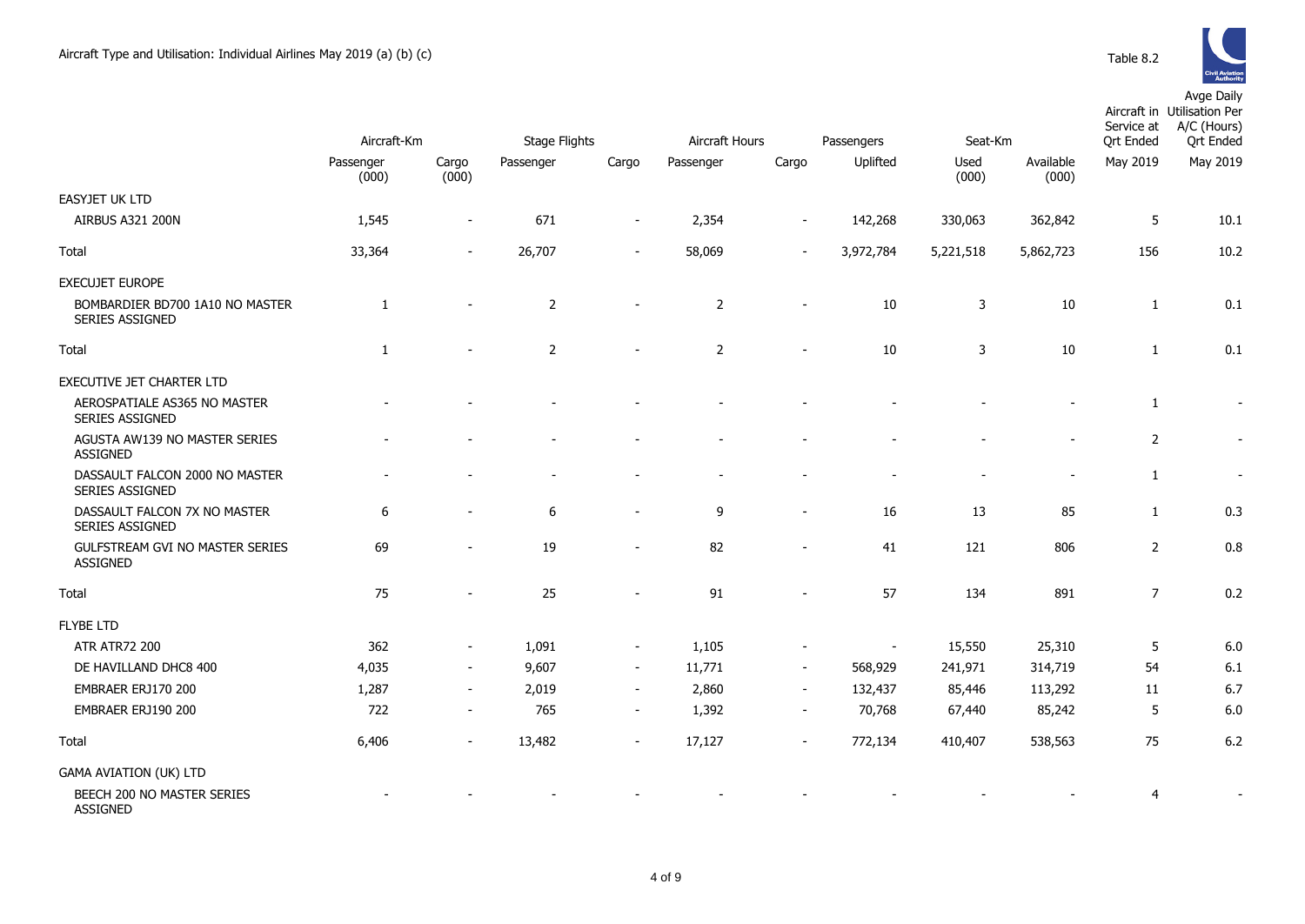|                                                          | Aircraft-Km        |                          | Stage Flights  |                          | Aircraft Hours |                          | Passengers               | Seat-Km       |                    | Service at<br><b>Ort Ended</b> | Aircraft in Utilisation Per<br>A/C (Hours)<br><b>Qrt Ended</b> |
|----------------------------------------------------------|--------------------|--------------------------|----------------|--------------------------|----------------|--------------------------|--------------------------|---------------|--------------------|--------------------------------|----------------------------------------------------------------|
|                                                          | Passenger<br>(000) | Cargo<br>(000)           | Passenger      | Cargo                    | Passenger      | Cargo                    | Uplifted                 | Used<br>(000) | Available<br>(000) | May 2019                       | May 2019                                                       |
| <b>EASYJET UK LTD</b>                                    |                    |                          |                |                          |                |                          |                          |               |                    |                                |                                                                |
| <b>AIRBUS A321 200N</b>                                  | 1,545              | $\overline{\phantom{0}}$ | 671            | $\overline{\phantom{m}}$ | 2,354          |                          | 142,268                  | 330,063       | 362,842            | 5                              | 10.1                                                           |
| Total                                                    | 33,364             | $\sim$                   | 26,707         | $\overline{\phantom{a}}$ | 58,069         |                          | 3,972,784                | 5,221,518     | 5,862,723          | 156                            | 10.2                                                           |
| <b>EXECUJET EUROPE</b>                                   |                    |                          |                |                          |                |                          |                          |               |                    |                                |                                                                |
| BOMBARDIER BD700 1A10 NO MASTER<br>SERIES ASSIGNED       | 1                  | ٠                        | $\overline{2}$ | $\blacksquare$           | 2              | $\sim$                   | 10                       | 3             | 10                 | 1                              | 0.1                                                            |
| Total                                                    | 1                  |                          | $\overline{2}$ | ۰                        | 2              |                          | 10                       | 3             | 10                 | 1                              | 0.1                                                            |
| <b>EXECUTIVE JET CHARTER LTD</b>                         |                    |                          |                |                          |                |                          |                          |               |                    |                                |                                                                |
| AEROSPATIALE AS365 NO MASTER<br>SERIES ASSIGNED          |                    |                          |                |                          |                |                          |                          |               |                    | 1                              |                                                                |
| AGUSTA AW139 NO MASTER SERIES<br><b>ASSIGNED</b>         |                    |                          |                |                          |                |                          |                          |               |                    | $\overline{2}$                 |                                                                |
| DASSAULT FALCON 2000 NO MASTER<br><b>SERIES ASSIGNED</b> |                    |                          |                |                          |                |                          |                          |               |                    | $\mathbf{1}$                   | $\sim$                                                         |
| DASSAULT FALCON 7X NO MASTER<br>SERIES ASSIGNED          | 6                  | $\sim$                   | 6              | $\overline{\phantom{a}}$ | 9              | $\blacksquare$           | 16                       | 13            | 85                 | $\mathbf{1}$                   | 0.3                                                            |
| GULFSTREAM GVI NO MASTER SERIES<br><b>ASSIGNED</b>       | 69                 |                          | 19             | $\blacksquare$           | 82             | $\overline{\phantom{a}}$ | 41                       | 121           | 806                | $\overline{2}$                 | 0.8                                                            |
| Total                                                    | 75                 |                          | 25             |                          | 91             |                          | 57                       | 134           | 891                | $\overline{7}$                 | 0.2                                                            |
| <b>FLYBE LTD</b>                                         |                    |                          |                |                          |                |                          |                          |               |                    |                                |                                                                |
| <b>ATR ATR72 200</b>                                     | 362                | $\overline{\phantom{a}}$ | 1,091          | $\overline{\phantom{a}}$ | 1,105          |                          | $\overline{\phantom{a}}$ | 15,550        | 25,310             | 5                              | 6.0                                                            |
| DE HAVILLAND DHC8 400                                    | 4,035              | $\sim$                   | 9,607          | $\overline{\phantom{a}}$ | 11,771         | $\overline{\phantom{a}}$ | 568,929                  | 241,971       | 314,719            | 54                             | 6.1                                                            |
| EMBRAER ERJ170 200                                       | 1,287              | $\sim$                   | 2,019          | $\sim$                   | 2,860          | $\blacksquare$           | 132,437                  | 85,446        | 113,292            | 11                             | 6.7                                                            |
| EMBRAER ERJ190 200                                       | 722                | $\sim$                   | 765            | $\overline{\phantom{a}}$ | 1,392          | $\overline{\phantom{a}}$ | 70,768                   | 67,440        | 85,242             | 5                              | 6.0                                                            |
| Total                                                    | 6,406              | $\sim$                   | 13,482         | $\overline{\phantom{m}}$ | 17,127         | $\blacksquare$           | 772,134                  | 410,407       | 538,563            | 75                             | 6.2                                                            |
| GAMA AVIATION (UK) LTD                                   |                    |                          |                |                          |                |                          |                          |               |                    |                                |                                                                |
| BEECH 200 NO MASTER SERIES<br><b>ASSIGNED</b>            |                    |                          |                |                          |                |                          |                          |               |                    | 4                              |                                                                |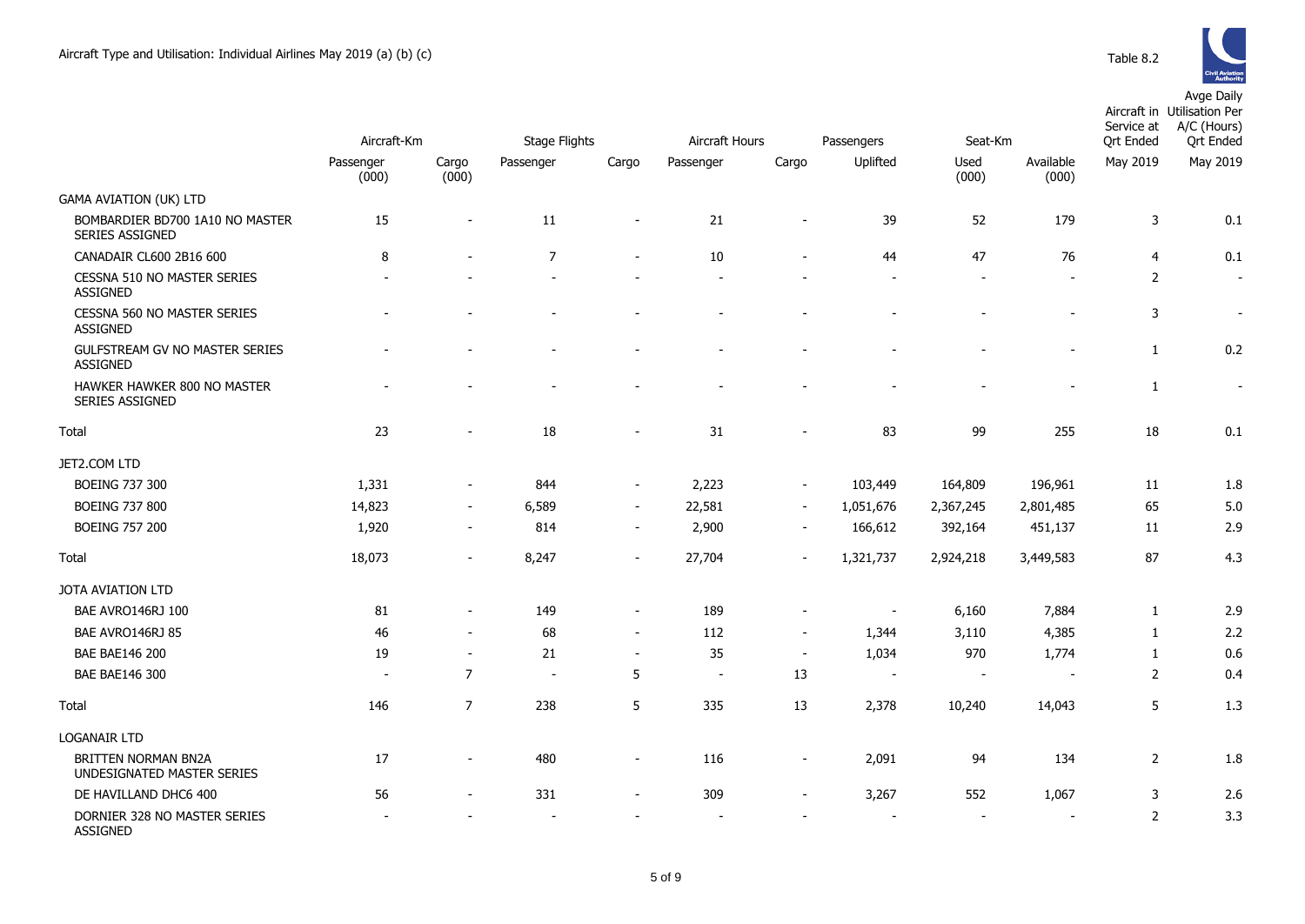

|                                                           | Aircraft-Km              |                          | <b>Stage Flights</b> |                          |           | Aircraft Hours<br>Passengers<br>Seat-Km |                          |               |                          |                              | Aircraft in Utilisation Per<br>A/C (Hours)<br><b>Ort Ended</b> |
|-----------------------------------------------------------|--------------------------|--------------------------|----------------------|--------------------------|-----------|-----------------------------------------|--------------------------|---------------|--------------------------|------------------------------|----------------------------------------------------------------|
|                                                           | Passenger<br>(000)       | Cargo<br>(000)           | Passenger            | Cargo                    | Passenger | Cargo                                   | Uplifted                 | Used<br>(000) | Available<br>(000)       | <b>Qrt Ended</b><br>May 2019 | May 2019                                                       |
| <b>GAMA AVIATION (UK) LTD</b>                             |                          |                          |                      |                          |           |                                         |                          |               |                          |                              |                                                                |
| BOMBARDIER BD700 1A10 NO MASTER<br><b>SERIES ASSIGNED</b> | 15                       |                          | 11                   | $\overline{\phantom{a}}$ | 21        | $\overline{\phantom{a}}$                | 39                       | 52            | 179                      | 3                            | 0.1                                                            |
| CANADAIR CL600 2B16 600                                   | 8                        |                          | $\overline{7}$       | $\sim$                   | 10        | $\sim$                                  | 44                       | 47            | 76                       | 4                            | 0.1                                                            |
| CESSNA 510 NO MASTER SERIES<br><b>ASSIGNED</b>            |                          |                          |                      |                          |           |                                         |                          |               |                          | 2                            | $\sim$                                                         |
| CESSNA 560 NO MASTER SERIES<br><b>ASSIGNED</b>            |                          |                          |                      |                          |           |                                         |                          |               |                          | 3                            | $\overline{\phantom{a}}$                                       |
| GULFSTREAM GV NO MASTER SERIES<br><b>ASSIGNED</b>         |                          |                          |                      |                          |           |                                         |                          |               | $\overline{a}$           | $\mathbf{1}$                 | 0.2                                                            |
| HAWKER HAWKER 800 NO MASTER<br>SERIES ASSIGNED            |                          |                          |                      |                          |           |                                         |                          |               |                          | $\mathbf{1}$                 | $\overline{\phantom{a}}$                                       |
| Total                                                     | 23                       |                          | 18                   |                          | 31        |                                         | 83                       | 99            | 255                      | 18                           | 0.1                                                            |
| JET2.COM LTD                                              |                          |                          |                      |                          |           |                                         |                          |               |                          |                              |                                                                |
| <b>BOEING 737 300</b>                                     | 1,331                    |                          | 844                  | $\overline{\phantom{a}}$ | 2,223     | $\blacksquare$                          | 103,449                  | 164,809       | 196,961                  | 11                           | 1.8                                                            |
| <b>BOEING 737 800</b>                                     | 14,823                   | $\sim$                   | 6,589                | $\overline{\phantom{a}}$ | 22,581    | $\sim$                                  | 1,051,676                | 2,367,245     | 2,801,485                | 65                           | 5.0                                                            |
| <b>BOEING 757 200</b>                                     | 1,920                    | $\overline{\phantom{a}}$ | 814                  | $\overline{\phantom{a}}$ | 2,900     | $\blacksquare$                          | 166,612                  | 392,164       | 451,137                  | 11                           | 2.9                                                            |
| Total                                                     | 18,073                   |                          | 8,247                |                          | 27,704    | $\sim$                                  | 1,321,737                | 2,924,218     | 3,449,583                | 87                           | 4.3                                                            |
| JOTA AVIATION LTD                                         |                          |                          |                      |                          |           |                                         |                          |               |                          |                              |                                                                |
| BAE AVRO146RJ 100                                         | 81                       |                          | 149                  | $\overline{\phantom{a}}$ | 189       | $\overline{\phantom{a}}$                |                          | 6,160         | 7,884                    | 1                            | 2.9                                                            |
| BAE AVRO146RJ 85                                          | 46                       | $\sim$                   | 68                   | $\overline{\phantom{a}}$ | 112       | $\sim$                                  | 1,344                    | 3,110         | 4,385                    | 1                            | 2.2                                                            |
| <b>BAE BAE146 200</b>                                     | 19                       | $\sim$                   | 21                   | $\overline{\phantom{a}}$ | 35        | $\sim$                                  | 1,034                    | 970           | 1,774                    | $\mathbf{1}$                 | 0.6                                                            |
| BAE BAE146 300                                            | $\overline{\phantom{a}}$ | $\overline{7}$           | $\sim$               | 5                        | $\sim$    | 13                                      | $\overline{\phantom{a}}$ | $\sim$        | $\overline{\phantom{a}}$ | $\overline{2}$               | 0.4                                                            |
| Total                                                     | 146                      | $\overline{7}$           | 238                  | 5                        | 335       | 13                                      | 2,378                    | 10,240        | 14,043                   | 5                            | 1.3                                                            |
| <b>LOGANAIR LTD</b>                                       |                          |                          |                      |                          |           |                                         |                          |               |                          |                              |                                                                |
| BRITTEN NORMAN BN2A<br>UNDESIGNATED MASTER SERIES         | 17                       | $\overline{\phantom{0}}$ | 480                  | $\overline{\phantom{a}}$ | 116       | $\overline{\phantom{a}}$                | 2,091                    | 94            | 134                      | $\overline{2}$               | 1.8                                                            |
| DE HAVILLAND DHC6 400                                     | 56                       |                          | 331                  |                          | 309       |                                         | 3,267                    | 552           | 1,067                    | 3                            | 2.6                                                            |
| DORNIER 328 NO MASTER SERIES<br>ASSIGNED                  |                          |                          |                      |                          |           |                                         |                          |               |                          | 2                            | 3.3                                                            |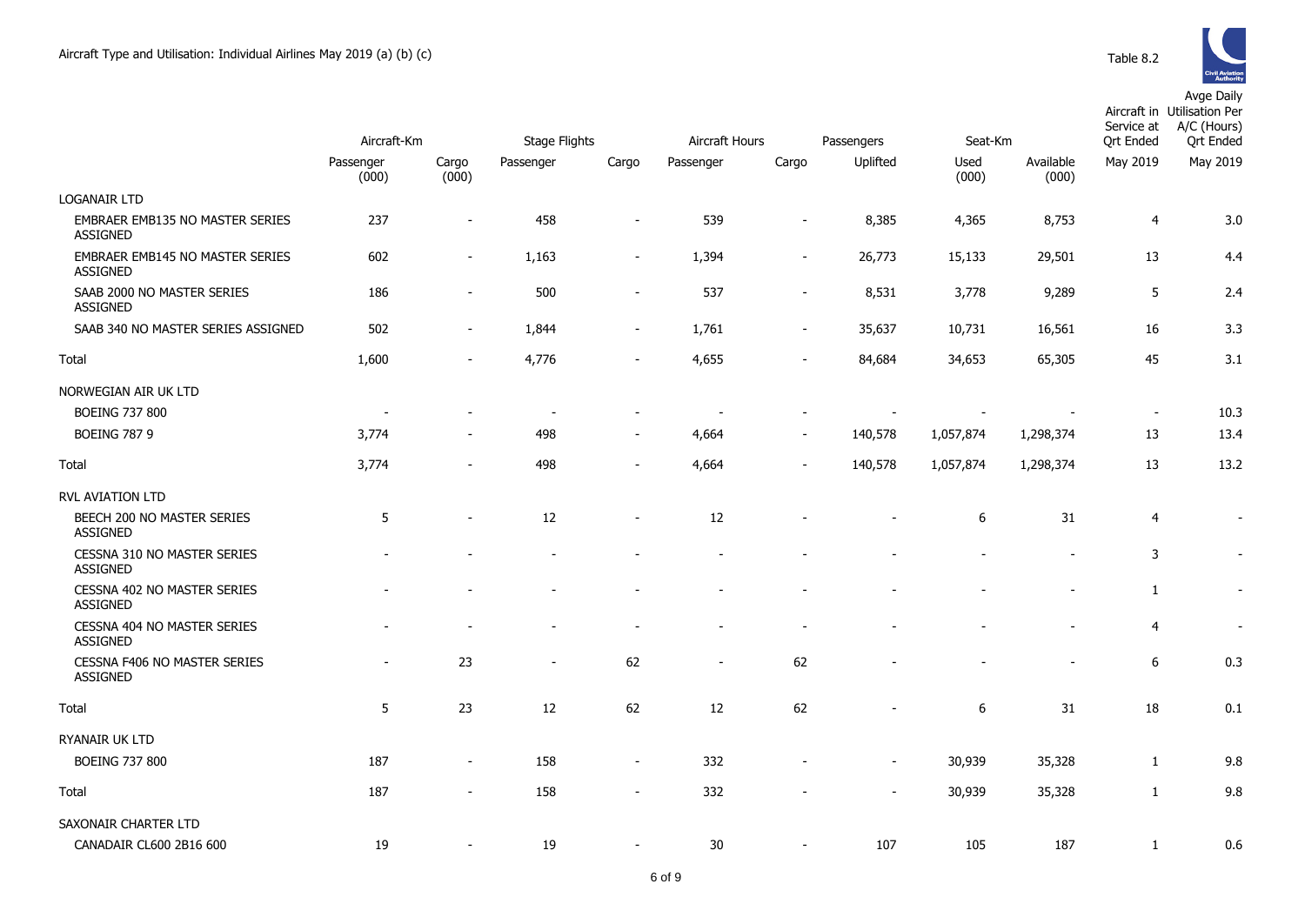|                                                           | Aircraft-Km        |                          | Stage Flights  |                          | Aircraft Hours           |                          | Passengers               | Seat-Km          |                    | Service at<br>Ort Ended  | Aircraft in Utilisation Per<br>A/C (Hours)<br><b>Ort Ended</b> |
|-----------------------------------------------------------|--------------------|--------------------------|----------------|--------------------------|--------------------------|--------------------------|--------------------------|------------------|--------------------|--------------------------|----------------------------------------------------------------|
|                                                           | Passenger<br>(000) | Cargo<br>(000)           | Passenger      | Cargo                    | Passenger                | Cargo                    | Uplifted                 | Used<br>(000)    | Available<br>(000) | May 2019                 | May 2019                                                       |
| <b>LOGANAIR LTD</b>                                       |                    |                          |                |                          |                          |                          |                          |                  |                    |                          |                                                                |
| <b>EMBRAER EMB135 NO MASTER SERIES</b><br><b>ASSIGNED</b> | 237                | $\blacksquare$           | 458            | $\blacksquare$           | 539                      | $\overline{a}$           | 8,385                    | 4,365            | 8,753              | 4                        | 3.0                                                            |
| <b>EMBRAER EMB145 NO MASTER SERIES</b><br><b>ASSIGNED</b> | 602                | $\overline{\phantom{a}}$ | 1,163          | $\overline{\phantom{m}}$ | 1,394                    | $\overline{\phantom{a}}$ | 26,773                   | 15,133           | 29,501             | 13                       | 4.4                                                            |
| SAAB 2000 NO MASTER SERIES<br><b>ASSIGNED</b>             | 186                | $\overline{\phantom{a}}$ | 500            | $\overline{\phantom{m}}$ | 537                      | $\overline{\phantom{a}}$ | 8,531                    | 3,778            | 9,289              | 5                        | 2.4                                                            |
| SAAB 340 NO MASTER SERIES ASSIGNED                        | 502                | $\overline{\phantom{a}}$ | 1,844          | $\overline{\phantom{a}}$ | 1,761                    | $\blacksquare$           | 35,637                   | 10,731           | 16,561             | 16                       | 3.3                                                            |
| Total                                                     | 1,600              | $\overline{a}$           | 4,776          | $\overline{a}$           | 4,655                    |                          | 84,684                   | 34,653           | 65,305             | 45                       | 3.1                                                            |
| NORWEGIAN AIR UK LTD                                      |                    |                          |                |                          |                          |                          |                          |                  |                    |                          |                                                                |
| <b>BOEING 737 800</b>                                     |                    |                          | $\blacksquare$ |                          |                          |                          |                          |                  |                    | $\overline{\phantom{a}}$ | 10.3                                                           |
| <b>BOEING 787 9</b>                                       | 3,774              | $\overline{\phantom{a}}$ | 498            | $\overline{\phantom{a}}$ | 4,664                    | $\blacksquare$           | 140,578                  | 1,057,874        | 1,298,374          | 13                       | 13.4                                                           |
| Total                                                     | 3,774              | $\overline{a}$           | 498            | $\blacksquare$           | 4,664                    | $\overline{\phantom{a}}$ | 140,578                  | 1,057,874        | 1,298,374          | 13                       | 13.2                                                           |
| RVL AVIATION LTD                                          |                    |                          |                |                          |                          |                          |                          |                  |                    |                          |                                                                |
| BEECH 200 NO MASTER SERIES<br><b>ASSIGNED</b>             | 5                  | ÷,                       | 12             | ۰                        | 12                       |                          |                          | $\boldsymbol{6}$ | 31                 | $\overline{4}$           | $\sim$                                                         |
| CESSNA 310 NO MASTER SERIES<br><b>ASSIGNED</b>            |                    |                          |                |                          |                          |                          |                          |                  |                    | 3                        | $\sim$                                                         |
| CESSNA 402 NO MASTER SERIES<br><b>ASSIGNED</b>            |                    |                          |                |                          |                          |                          |                          |                  |                    | $\mathbf{1}$             |                                                                |
| CESSNA 404 NO MASTER SERIES<br><b>ASSIGNED</b>            |                    |                          |                | ۰                        |                          |                          |                          |                  |                    | 4                        | $\sim$                                                         |
| CESSNA F406 NO MASTER SERIES<br><b>ASSIGNED</b>           |                    | 23                       | $\overline{a}$ | 62                       | $\overline{\phantom{a}}$ | 62                       |                          |                  |                    | 6                        | 0.3                                                            |
| Total                                                     | 5                  | 23                       | 12             | 62                       | 12                       | 62                       |                          | $\boldsymbol{6}$ | 31                 | 18                       | 0.1                                                            |
| RYANAIR UK LTD                                            |                    |                          |                |                          |                          |                          |                          |                  |                    |                          |                                                                |
| <b>BOEING 737 800</b>                                     | 187                | $\blacksquare$           | 158            | $\overline{\phantom{m}}$ | 332                      |                          | $\overline{\phantom{a}}$ | 30,939           | 35,328             | 1                        | 9.8                                                            |
| Total                                                     | 187                | $\blacksquare$           | 158            | $\overline{\phantom{m}}$ | 332                      |                          |                          | 30,939           | 35,328             | $\mathbf{1}$             | 9.8                                                            |
| SAXONAIR CHARTER LTD                                      |                    |                          |                |                          |                          |                          |                          |                  |                    |                          |                                                                |
| CANADAIR CL600 2B16 600                                   | 19                 |                          | 19             | $\overline{a}$           | 30                       |                          | 107                      | 105              | 187                | $\mathbf{1}$             | 0.6                                                            |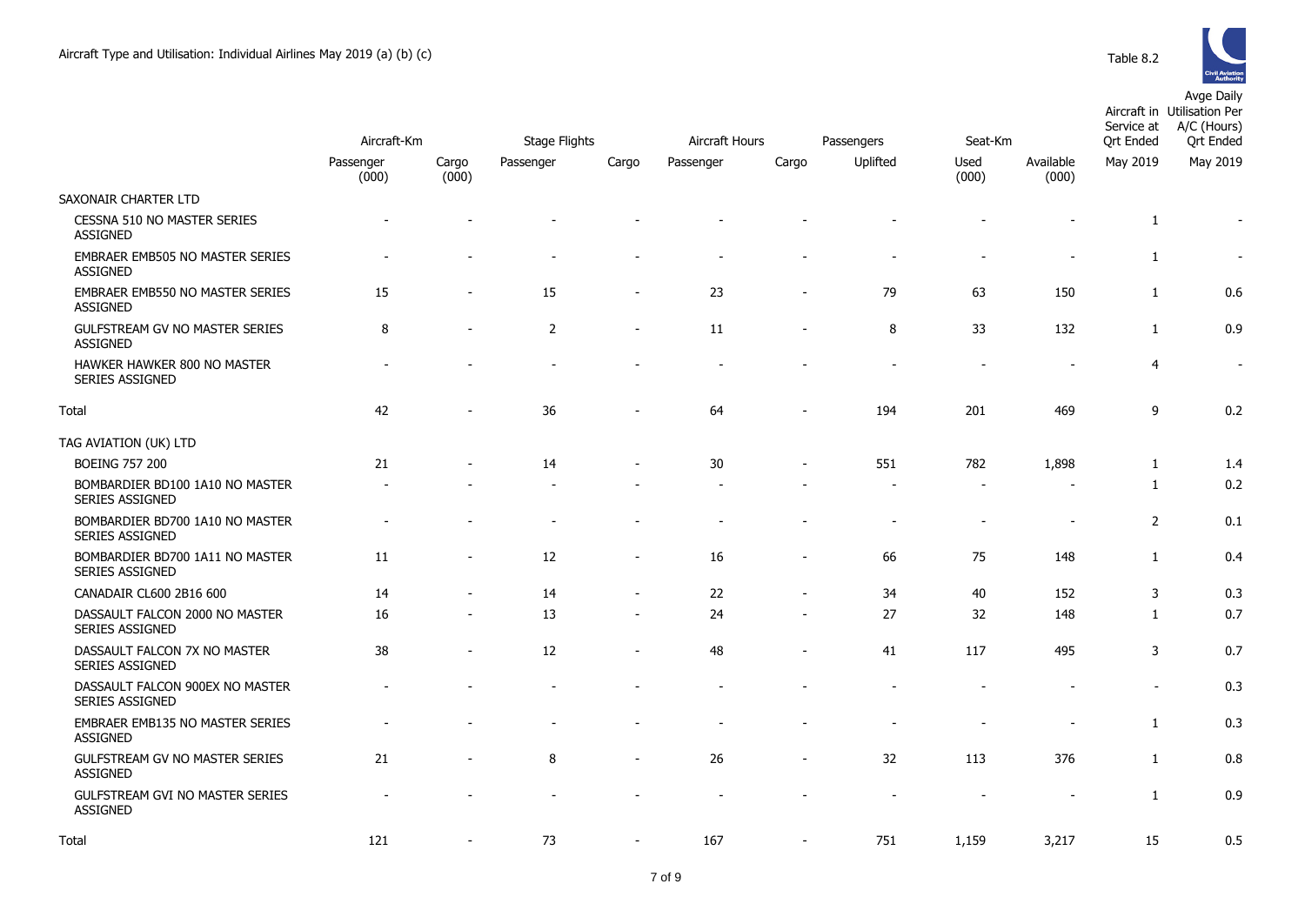

|                                                           | Aircraft-Km        |                          | <b>Stage Flights</b> |                          | Aircraft Hours |       |            |               |                    | Service at       | Aircraft in Utilisation Per<br>A/C (Hours) |
|-----------------------------------------------------------|--------------------|--------------------------|----------------------|--------------------------|----------------|-------|------------|---------------|--------------------|------------------|--------------------------------------------|
|                                                           |                    |                          |                      |                          |                |       | Passengers | Seat-Km       |                    | <b>Qrt Ended</b> | <b>Qrt Ended</b>                           |
|                                                           | Passenger<br>(000) | Cargo<br>(000)           | Passenger            | Cargo                    | Passenger      | Cargo | Uplifted   | Used<br>(000) | Available<br>(000) | May 2019         | May 2019                                   |
| SAXONAIR CHARTER LTD                                      |                    |                          |                      |                          |                |       |            |               |                    |                  |                                            |
| CESSNA 510 NO MASTER SERIES<br><b>ASSIGNED</b>            |                    |                          |                      |                          |                |       |            |               |                    | 1                | $\overline{\phantom{a}}$                   |
| EMBRAER EMB505 NO MASTER SERIES<br><b>ASSIGNED</b>        |                    |                          |                      |                          |                |       |            |               |                    | $\mathbf{1}$     | $\blacksquare$                             |
| EMBRAER EMB550 NO MASTER SERIES<br><b>ASSIGNED</b>        | 15                 |                          | 15                   |                          | 23             |       | 79         | 63            | 150                | 1                | 0.6                                        |
| <b>GULFSTREAM GV NO MASTER SERIES</b><br><b>ASSIGNED</b>  | 8                  | $\overline{\phantom{a}}$ | $\overline{2}$       | $\overline{\phantom{a}}$ | 11             |       | 8          | 33            | 132                | $\mathbf{1}$     | 0.9                                        |
| HAWKER HAWKER 800 NO MASTER<br><b>SERIES ASSIGNED</b>     |                    |                          |                      |                          |                |       |            |               |                    | $\overline{4}$   | $\blacksquare$                             |
| Total                                                     | 42                 |                          | 36                   |                          | 64             |       | 194        | 201           | 469                | 9                | 0.2                                        |
| TAG AVIATION (UK) LTD                                     |                    |                          |                      |                          |                |       |            |               |                    |                  |                                            |
| <b>BOEING 757 200</b>                                     | 21                 |                          | 14                   |                          | 30             |       | 551        | 782           | 1,898              | 1                | 1.4                                        |
| BOMBARDIER BD100 1A10 NO MASTER<br><b>SERIES ASSIGNED</b> |                    |                          |                      |                          |                |       |            |               |                    | 1                | 0.2                                        |
| BOMBARDIER BD700 1A10 NO MASTER<br>SERIES ASSIGNED        |                    |                          |                      |                          |                |       |            |               | $\overline{a}$     | $\overline{2}$   | 0.1                                        |
| BOMBARDIER BD700 1A11 NO MASTER<br>SERIES ASSIGNED        | 11                 | $\overline{\phantom{a}}$ | 12                   | $\overline{\phantom{a}}$ | 16             |       | 66         | 75            | 148                | $\mathbf{1}$     | 0.4                                        |
| CANADAIR CL600 2B16 600                                   | 14                 |                          | 14                   | $\blacksquare$           | 22             |       | 34         | 40            | 152                | 3                | 0.3                                        |
| DASSAULT FALCON 2000 NO MASTER<br>SERIES ASSIGNED         | 16                 |                          | 13                   |                          | 24             |       | 27         | 32            | 148                | 1                | 0.7                                        |
| DASSAULT FALCON 7X NO MASTER<br>SERIES ASSIGNED           | 38                 | $\blacksquare$           | 12                   | $\overline{\phantom{a}}$ | 48             |       | 41         | 117           | 495                | 3                | 0.7                                        |
| DASSAULT FALCON 900EX NO MASTER<br>SERIES ASSIGNED        |                    |                          |                      |                          |                |       |            |               |                    | $\blacksquare$   | 0.3                                        |
| EMBRAER EMB135 NO MASTER SERIES<br><b>ASSIGNED</b>        |                    |                          |                      |                          |                |       |            |               |                    | 1                | 0.3                                        |
| GULFSTREAM GV NO MASTER SERIES<br><b>ASSIGNED</b>         | 21                 |                          | 8                    |                          | 26             |       | 32         | 113           | 376                | $\mathbf{1}$     | 0.8                                        |
| <b>GULFSTREAM GVI NO MASTER SERIES</b><br><b>ASSIGNED</b> |                    |                          |                      |                          |                |       |            |               |                    | $\mathbf{1}$     | 0.9                                        |
| Total                                                     | 121                |                          | 73                   |                          | 167            |       | 751        | 1,159         | 3,217              | 15               | 0.5                                        |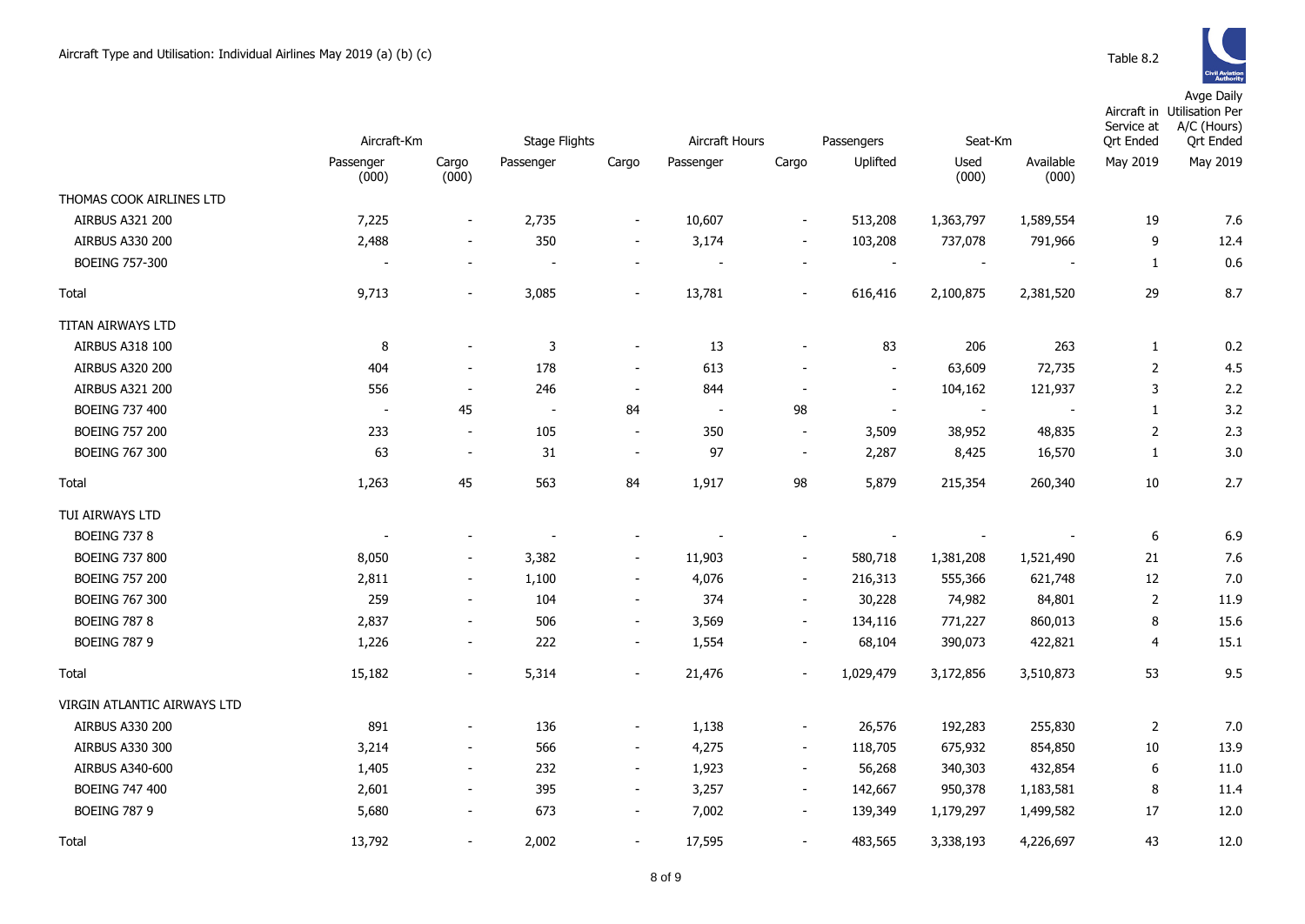|                             | Aircraft-Km        |                          | <b>Stage Flights</b>     |                          | Aircraft Hours<br>Passengers |                          |                          | Seat-Km                  |                          | Service at<br><b>Qrt Ended</b> | Aircraft in Utilisation Per<br>A/C (Hours)<br><b>Qrt Ended</b> |
|-----------------------------|--------------------|--------------------------|--------------------------|--------------------------|------------------------------|--------------------------|--------------------------|--------------------------|--------------------------|--------------------------------|----------------------------------------------------------------|
|                             | Passenger<br>(000) | Cargo<br>(000)           | Passenger                | Cargo                    | Passenger                    | Cargo                    | Uplifted                 | Used<br>(000)            | Available<br>(000)       | May 2019                       | May 2019                                                       |
| THOMAS COOK AIRLINES LTD    |                    |                          |                          |                          |                              |                          |                          |                          |                          |                                |                                                                |
| AIRBUS A321 200             | 7,225              | $\overline{\phantom{a}}$ | 2,735                    | $\overline{\phantom{a}}$ | 10,607                       | $\overline{\phantom{a}}$ | 513,208                  | 1,363,797                | 1,589,554                | 19                             | 7.6                                                            |
| <b>AIRBUS A330 200</b>      | 2,488              | $\overline{\phantom{a}}$ | 350                      | $\overline{\phantom{a}}$ | 3,174                        | $\overline{\phantom{a}}$ | 103,208                  | 737,078                  | 791,966                  | 9                              | 12.4                                                           |
| <b>BOEING 757-300</b>       |                    |                          | $\overline{\phantom{a}}$ |                          | $\overline{\phantom{a}}$     |                          |                          | $\overline{\phantom{a}}$ |                          | $\mathbf{1}$                   | 0.6                                                            |
| Total                       | 9,713              | $\blacksquare$           | 3,085                    | $\overline{\phantom{a}}$ | 13,781                       | $\blacksquare$           | 616,416                  | 2,100,875                | 2,381,520                | 29                             | 8.7                                                            |
| TITAN AIRWAYS LTD           |                    |                          |                          |                          |                              |                          |                          |                          |                          |                                |                                                                |
| AIRBUS A318 100             | 8                  |                          | $\mathbf{3}$             | $\overline{\phantom{a}}$ | 13                           |                          | 83                       | 206                      | 263                      | $\mathbf{1}$                   | 0.2                                                            |
| <b>AIRBUS A320 200</b>      | 404                | $\overline{\phantom{a}}$ | 178                      | $\overline{\phantom{a}}$ | 613                          |                          | $\overline{\phantom{a}}$ | 63,609                   | 72,735                   | $\overline{2}$                 | 4.5                                                            |
| <b>AIRBUS A321 200</b>      | 556                | $\overline{\phantom{a}}$ | 246                      | $\overline{\phantom{a}}$ | 844                          | $\overline{a}$           | $\blacksquare$           | 104,162                  | 121,937                  | 3                              | 2.2                                                            |
| <b>BOEING 737 400</b>       | $\sim$             | 45                       | $\sim$                   | 84                       | $\sim$                       | 98                       | $\blacksquare$           | $\sim$                   | $\overline{\phantom{a}}$ | $\mathbf{1}$                   | 3.2                                                            |
| <b>BOEING 757 200</b>       | 233                | $\overline{\phantom{a}}$ | 105                      | $\blacksquare$           | 350                          | $\overline{\phantom{a}}$ | 3,509                    | 38,952                   | 48,835                   | $\overline{2}$                 | 2.3                                                            |
| <b>BOEING 767 300</b>       | 63                 | $\overline{\phantom{a}}$ | 31                       | $\overline{\phantom{a}}$ | 97                           | $\overline{\phantom{a}}$ | 2,287                    | 8,425                    | 16,570                   | $\mathbf{1}$                   | 3.0                                                            |
| Total                       | 1,263              | 45                       | 563                      | 84                       | 1,917                        | 98                       | 5,879                    | 215,354                  | 260,340                  | $10\,$                         | 2.7                                                            |
| TUI AIRWAYS LTD             |                    |                          |                          |                          |                              |                          |                          |                          |                          |                                |                                                                |
| <b>BOEING 737 8</b>         |                    |                          |                          |                          |                              | $\overline{a}$           |                          |                          |                          | 6                              | 6.9                                                            |
| <b>BOEING 737 800</b>       | 8,050              | $\overline{\phantom{a}}$ | 3,382                    | $\overline{\phantom{a}}$ | 11,903                       | $\blacksquare$           | 580,718                  | 1,381,208                | 1,521,490                | 21                             | 7.6                                                            |
| <b>BOEING 757 200</b>       | 2,811              | $\overline{\phantom{a}}$ | 1,100                    | $\overline{\phantom{a}}$ | 4,076                        | $\overline{\phantom{a}}$ | 216,313                  | 555,366                  | 621,748                  | 12                             | 7.0                                                            |
| <b>BOEING 767 300</b>       | 259                | $\overline{\phantom{a}}$ | 104                      | $\overline{\phantom{a}}$ | 374                          | $\overline{\phantom{a}}$ | 30,228                   | 74,982                   | 84,801                   | 2                              | 11.9                                                           |
| <b>BOEING 787 8</b>         | 2,837              | $\overline{\phantom{a}}$ | 506                      | $\overline{\phantom{a}}$ | 3,569                        | $\overline{\phantom{a}}$ | 134,116                  | 771,227                  | 860,013                  | 8                              | 15.6                                                           |
| <b>BOEING 787 9</b>         | 1,226              | $\overline{\phantom{a}}$ | 222                      | $\overline{\phantom{a}}$ | 1,554                        | $\overline{\phantom{a}}$ | 68,104                   | 390,073                  | 422,821                  | 4                              | 15.1                                                           |
| Total                       | 15,182             | $\overline{\phantom{a}}$ | 5,314                    | $\blacksquare$           | 21,476                       | $\blacksquare$           | 1,029,479                | 3,172,856                | 3,510,873                | 53                             | 9.5                                                            |
| VIRGIN ATLANTIC AIRWAYS LTD |                    |                          |                          |                          |                              |                          |                          |                          |                          |                                |                                                                |
| <b>AIRBUS A330 200</b>      | 891                |                          | 136                      | $\overline{\phantom{a}}$ | 1,138                        | $\overline{\phantom{m}}$ | 26,576                   | 192,283                  | 255,830                  | $\overline{2}$                 | 7.0                                                            |
| <b>AIRBUS A330 300</b>      | 3,214              | $\overline{\phantom{a}}$ | 566                      | $\overline{\phantom{a}}$ | 4,275                        | $\overline{\phantom{a}}$ | 118,705                  | 675,932                  | 854,850                  | $10\,$                         | 13.9                                                           |
| AIRBUS A340-600             | 1,405              | $\overline{\phantom{a}}$ | 232                      | $\overline{\phantom{a}}$ | 1,923                        | $\blacksquare$           | 56,268                   | 340,303                  | 432,854                  | 6                              | 11.0                                                           |
| <b>BOEING 747 400</b>       | 2,601              | $\overline{\phantom{a}}$ | 395                      | $\overline{\phantom{a}}$ | 3,257                        | $\overline{\phantom{a}}$ | 142,667                  | 950,378                  | 1,183,581                | 8                              | 11.4                                                           |
| <b>BOEING 787 9</b>         | 5,680              | $\blacksquare$           | 673                      | $\overline{\phantom{a}}$ | 7,002                        | $\sim$                   | 139,349                  | 1,179,297                | 1,499,582                | 17                             | 12.0                                                           |
| Total                       | 13,792             | $\overline{\phantom{a}}$ | 2,002                    | $\overline{\phantom{a}}$ | 17,595                       | $\overline{\phantom{a}}$ | 483,565                  | 3,338,193                | 4,226,697                | 43                             | 12.0                                                           |